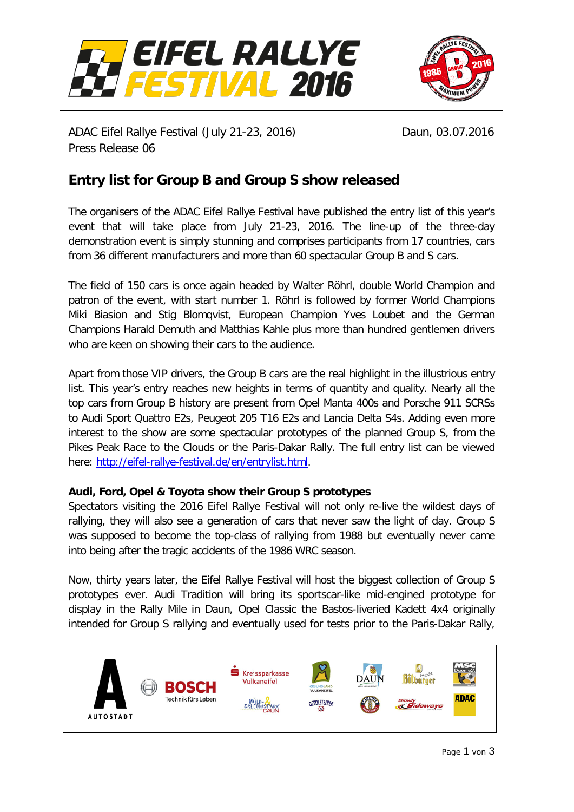



ADAC Eifel Rallye Festival (July 21-23, 2016) Daun, 03.07.2016 Press Release 06

# **Entry list for Group B and Group S show released**

The organisers of the ADAC Eifel Rallye Festival have published the entry list of this year's event that will take place from July 21-23, 2016. The line-up of the three-day demonstration event is simply stunning and comprises participants from 17 countries, cars from 36 different manufacturers and more than 60 spectacular Group B and S cars.

The field of 150 cars is once again headed by Walter Röhrl, double World Champion and patron of the event, with start number 1. Röhrl is followed by former World Champions Miki Biasion and Stig Blomqvist, European Champion Yves Loubet and the German Champions Harald Demuth and Matthias Kahle plus more than hundred gentlemen drivers who are keen on showing their cars to the audience.

Apart from those VIP drivers, the Group B cars are the real highlight in the illustrious entry list. This year's entry reaches new heights in terms of quantity and quality. Nearly all the top cars from Group B history are present from Opel Manta 400s and Porsche 911 SCRSs to Audi Sport Quattro E2s, Peugeot 205 T16 E2s and Lancia Delta S4s. Adding even more interest to the show are some spectacular prototypes of the planned Group S, from the Pikes Peak Race to the Clouds or the Paris-Dakar Rally. The full entry list can be viewed here: [http://eifel-rallye-festival.de/en/entrylist.html.](http://eifel-rallye-festival.de/en/entrylist.html)

## **Audi, Ford, Opel & Toyota show their Group S prototypes**

Spectators visiting the 2016 Eifel Rallye Festival will not only re-live the wildest days of rallying, they will also see a generation of cars that never saw the light of day. Group S was supposed to become the top-class of rallying from 1988 but eventually never came into being after the tragic accidents of the 1986 WRC season.

Now, thirty years later, the Eifel Rallye Festival will host the biggest collection of Group S prototypes ever. Audi Tradition will bring its sportscar-like mid-engined prototype for display in the Rally Mile in Daun, Opel Classic the Bastos-liveried Kadett 4x4 originally intended for Group S rallying and eventually used for tests prior to the Paris-Dakar Rally,

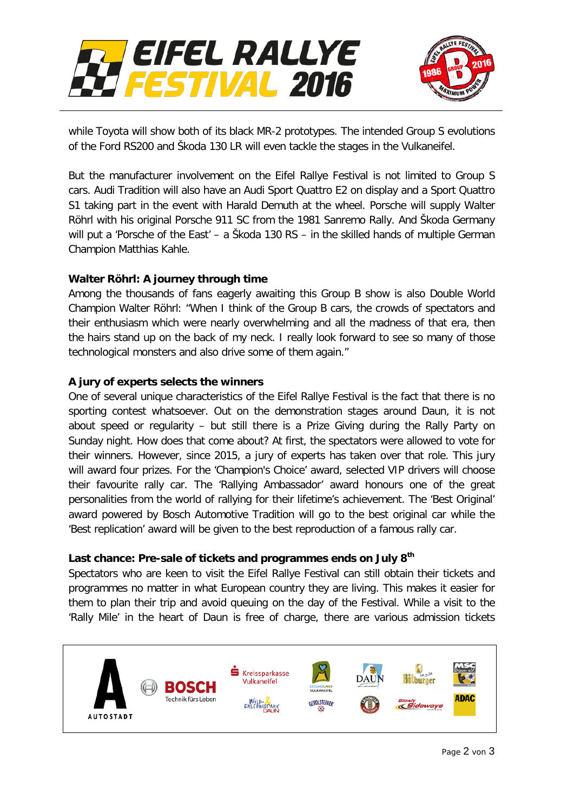



while Toyota will show both of its black MR-2 prototypes. The intended Group S evolutions of the Ford RS200 and Škoda 130 LR will even tackle the stages in the Vulkaneifel.

But the manufacturer involvement on the Eifel Rallye Festival is not limited to Group S cars. Audi Tradition will also have an Audi Sport Quattro E2 on display and a Sport Quattro S1 taking part in the event with Harald Demuth at the wheel. Porsche will supply Walter Röhrl with his original Porsche 911 SC from the 1981 Sanremo Rally. And Škoda Germany will put a 'Porsche of the East' – a Škoda 130 RS – in the skilled hands of multiple German Champion Matthias Kahle.

## **Walter Röhrl: A journey through time**

Among the thousands of fans eagerly awaiting this Group B show is also Double World Champion Walter Röhrl: "When I think of the Group B cars, the crowds of spectators and their enthusiasm which were nearly overwhelming and all the madness of that era, then the hairs stand up on the back of my neck. I really look forward to see so many of those technological monsters and also drive some of them again."

## **A jury of experts selects the winners**

One of several unique characteristics of the Eifel Rallye Festival is the fact that there is no sporting contest whatsoever. Out on the demonstration stages around Daun, it is not about speed or regularity – but still there is a Prize Giving during the Rally Party on Sunday night. How does that come about? At first, the spectators were allowed to vote for their winners. However, since 2015, a jury of experts has taken over that role. This jury will award four prizes. For the 'Champion's Choice' award, selected VIP drivers will choose their favourite rally car. The 'Rallying Ambassador' award honours one of the great personalities from the world of rallying for their lifetime's achievement. The 'Best Original' award powered by Bosch Automotive Tradition will go to the best original car while the 'Best replication' award will be given to the best reproduction of a famous rally car.

## **Last chance: Pre-sale of tickets and programmes ends on July 8th**

Spectators who are keen to visit the Eifel Rallye Festival can still obtain their tickets and programmes no matter in what European country they are living. This makes it easier for them to plan their trip and avoid queuing on the day of the Festival. While a visit to the 'Rally Mile' in the heart of Daun is free of charge, there are various admission tickets